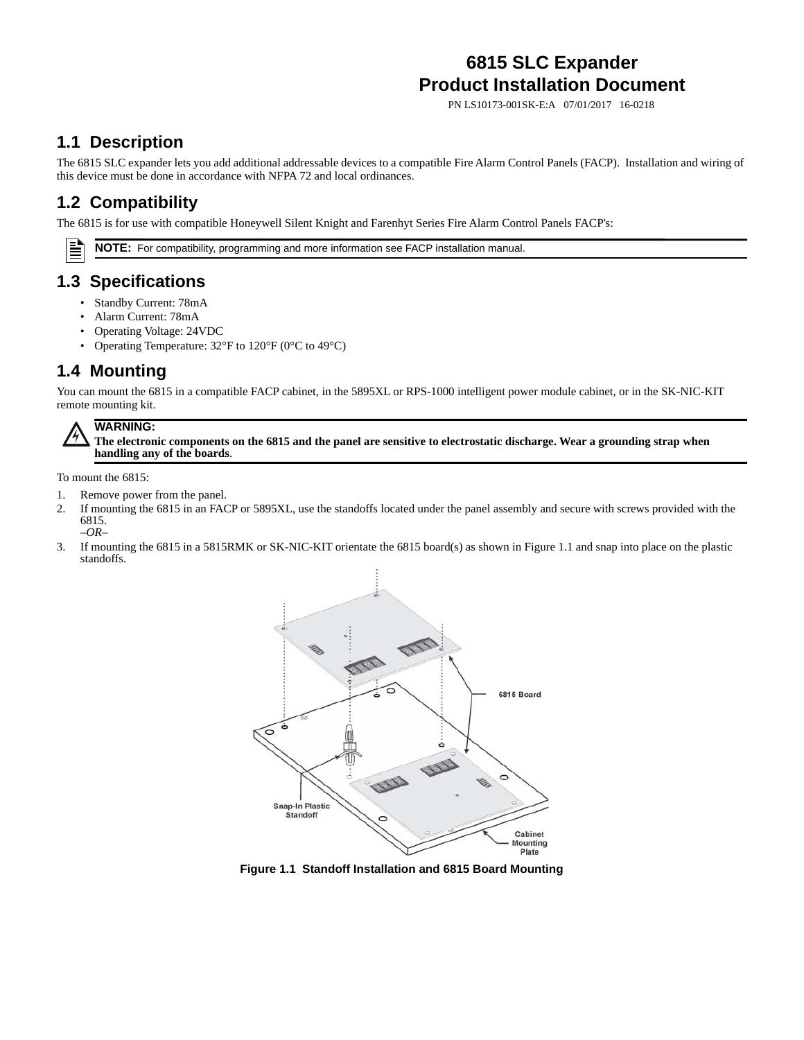# **6815 SLC Expander Product Installation Document**

PN LS10173-001SK-E:A 07/01/2017 16-0218

### **1.1 Description**

The 6815 SLC expander lets you add additional addressable devices to a compatible Fire Alarm Control Panels (FACP). Installation and wiring of this device must be done in accordance with NFPA 72 and local ordinances.

## **1.2 Compatibility**

The 6815 is for use with compatible Honeywell Silent Knight and Farenhyt Series Fire Alarm Control Panels FACP's:

**NOTE:** For compatibility, programming and more information see FACP installation manual.

#### **1.3 Specifications**

- Standby Current: 78mA
- Alarm Current: 78mA
- Operating Voltage: 24VDC
- Operating Temperature: 32°F to 120°F (0°C to 49°C)

### **1.4 Mounting**

You can mount the 6815 in a compatible FACP cabinet, in the 5895XL or RPS-1000 intelligent power module cabinet, or in the SK-NIC-KIT remote mounting kit.



Ë

**The electronic components on the 6815 and the panel are sensitive to electrostatic discharge. Wear a grounding strap when handling any of the boards**.

To mount the 6815:

- 1. Remove power from the panel.
- 2. If mounting the 6815 in an FACP or 5895XL, use the standoffs located under the panel assembly and secure with screws provided with the 6815. *–OR–*
- 3. If mounting the 6815 in a 5815RMK or SK-NIC-KIT orientate the 6815 board(s) as shown in [Figure 1.1](#page-0-0) and snap into place on the plastic standoffs.



<span id="page-0-0"></span>**Figure 1.1 Standoff Installation and 6815 Board Mounting**